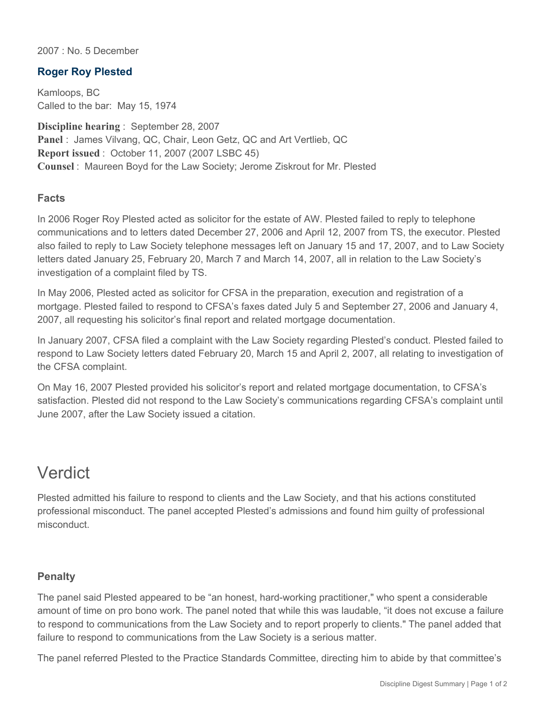2007 : No. 5 December

## **Roger Roy Plested**

Kamloops, BC Called to the bar: May 15, 1974

**Discipline hearing** : September 28, 2007 **Panel** : James Vilvang, QC, Chair, Leon Getz, QC and Art Vertlieb, QC **Report issued** : October 11, 2007 (2007 LSBC 45) **Counsel** : Maureen Boyd for the Law Society; Jerome Ziskrout for Mr. Plested

## **Facts**

In 2006 Roger Roy Plested acted as solicitor for the estate of AW. Plested failed to reply to telephone communications and to letters dated December 27, 2006 and April 12, 2007 from TS, the executor. Plested also failed to reply to Law Society telephone messages left on January 15 and 17, 2007, and to Law Society letters dated January 25, February 20, March 7 and March 14, 2007, all in relation to the Law Society's investigation of a complaint filed by TS.

In May 2006, Plested acted as solicitor for CFSA in the preparation, execution and registration of a mortgage. Plested failed to respond to CFSA's faxes dated July 5 and September 27, 2006 and January 4, 2007, all requesting his solicitor's final report and related mortgage documentation.

In January 2007, CFSA filed a complaint with the Law Society regarding Plested's conduct. Plested failed to respond to Law Society letters dated February 20, March 15 and April 2, 2007, all relating to investigation of the CFSA complaint.

On May 16, 2007 Plested provided his solicitor's report and related mortgage documentation, to CFSA's satisfaction. Plested did not respond to the Law Society's communications regarding CFSA's complaint until June 2007, after the Law Society issued a citation.

## Verdict

Plested admitted his failure to respond to clients and the Law Society, and that his actions constituted professional misconduct. The panel accepted Plested's admissions and found him guilty of professional misconduct.

## **Penalty**

The panel said Plested appeared to be "an honest, hard-working practitioner," who spent a considerable amount of time on pro bono work. The panel noted that while this was laudable, "it does not excuse a failure to respond to communications from the Law Society and to report properly to clients." The panel added that failure to respond to communications from the Law Society is a serious matter.

The panel referred Plested to the Practice Standards Committee, directing him to abide by that committee's